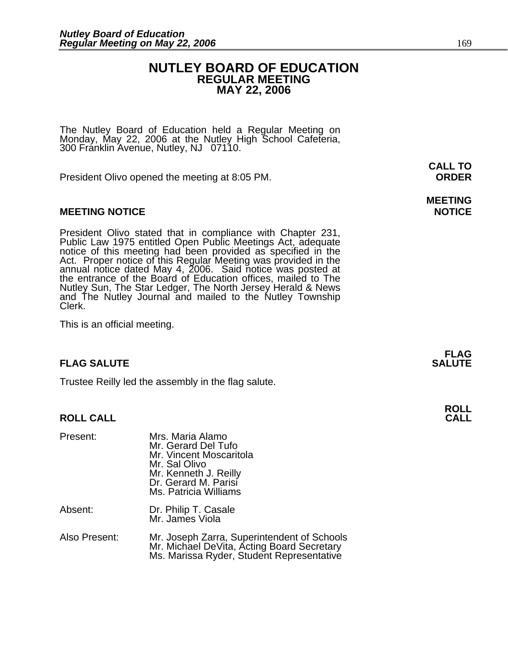### **NUTLEY BOARD OF EDUCATION REGULAR MEETING MAY 22, 2006**

The Nutley Board of Education held a Regular Meeting on Monday, May 22, 2006 at the Nutley High School Cafeteria, 300 Franklin Avenue, Nutley, NJ 07110.

President Olivo opened the meeting at 8:05 PM. **ORDER**

#### **MEETING NOTICE NOTICE AND RESERVE ASSESS**

President Olivo stated that in compliance with Chapter 231,<br>Public Law 1975 entitled Open Public Meetings Act, adequate<br>notice of this meeting had been provided as specified in the<br>Act. Proper notice of this Regular Meetin annual notice dated May 4, 2006. Said notice was posted at<br>the entrance of the Board of Education offices, mailed to The Nutley Sun, The Star Ledger, The North Jersey Herald & News and The Nutley Journal and mailed to the Nutley Township Clerk.

This is an official meeting.

#### **FLAG SALUTE SALUTE SALUTE**

Trustee Reilly led the assembly in the flag salute.

#### **ROLL CALL**

| Present:      | Mrs. Maria Alamo<br>Mr. Gerard Del Tufo<br>Mr. Vincent Moscaritola<br>Mr. Sal Olivo<br>Mr. Kenneth J. Reilly<br>Dr. Gerard M. Parisi<br>Ms. Patricia Williams |
|---------------|---------------------------------------------------------------------------------------------------------------------------------------------------------------|
| Absent:       | Dr. Philip T. Casale<br>Mr. James Viola                                                                                                                       |
| Also Present: | Mr. Joseph Zarra, Superintendent of Schools<br>Mr. Michael DeVita, Acting Board Secretary<br>Ms. Marissa Ryder, Student Representative                        |

**CALL TO** 

## **MEETING**

**FLAG** 

**ROLL**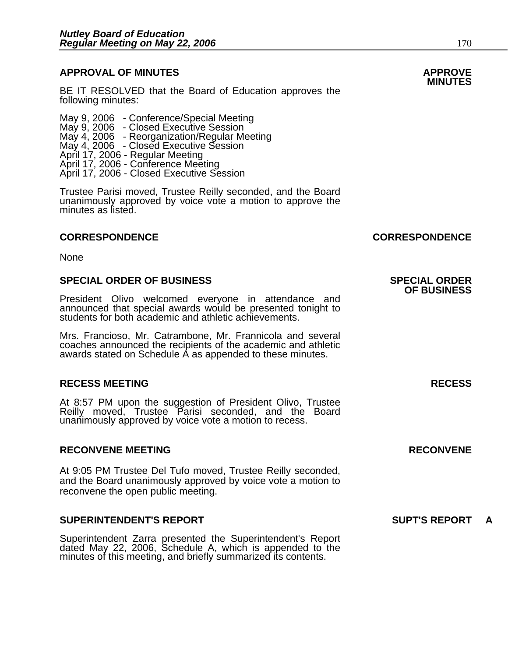### **APPROVAL OF MINUTES APPROVE**

BE IT RESOLVED that the Board of Education approves the following minutes:

 May 9, 2006 - Conference/Special Meeting May 9, 2006 - Closed Executive Session May 4, 2006 - Reorganization/Regular Meeting May 4, 2006 - Closed Executive Session April 17, 2006 - Regular Meeting April 17, 2006 - Conference Meeting April 17, 2006 - Closed Executive Session

Trustee Parisi moved, Trustee Reilly seconded, and the Board unanimously approved by voice vote a motion to approve the minutes as listed.

#### **CORRESPONDENCE CORRESPONDENCE**

**None** 

#### **SPECIAL ORDER OF BUSINESS SPECIAL ORDER**

President Olivo welcomed everyone in attendance and announced that special awards would be presented tonight to students for both academic and athletic achievements.

Mrs. Francioso, Mr. Catrambone, Mr. Frannicola and several coaches announced the recipients of the academic and athletic awards stated on Schedule A as appended to these minutes.

#### **RECESS MEETING RECESS**

At 8:57 PM upon the suggestion of President Olivo, Trustee Reilly moved, Trustee Parisi seconded, and the Board unanimously approved by voice vote a motion to recess.

#### **RECONVENE MEETING RECONVENE**

At 9:05 PM Trustee Del Tufo moved, Trustee Reilly seconded, and the Board unanimously approved by voice vote a motion to reconvene the open public meeting.

#### **SUPERINTENDENT'S REPORT SUPT'S REPORT A**

Superintendent Zarra presented the Superintendent's Report dated May 22, 2006, Schedule A, which is appended to the minutes of this meeting, and briefly summarized its contents.

**OF BUSINESS**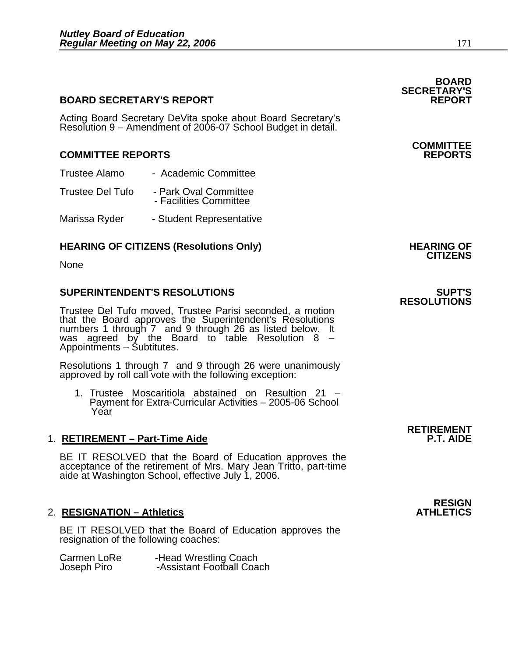#### **BOARD SECRETARY'S REPORT**

Acting Board Secretary DeVita spoke about Board Secretary's Resolution 9 – Amendment of 2006-07 School Budget in detail.

#### **COMMITTEE REPORTS REPORTS**

- Trustee Alamo Academic Committee
- Trustee Del Tufo Park Oval Committee - Facilities Committee
- Marissa Ryder Student Representative

### **HEARING OF CITIZENS (Resolutions Only) HEARING OF CITIZENS**

None

#### **SUPERINTENDENT'S RESOLUTIONS SUPT'S**

Trustee Del Tufo moved, Trustee Parisi seconded, a motion that the Board approves the Superintendent's Resolutions numbers 1 through 7 and 9 through 26 as listed below. It was agreed by the Board to table Resolution  $8 -$ Appointments – Subtitutes.

Resolutions 1 through 7 and 9 through 26 were unanimously approved by roll call vote with the following exception:

1. Trustee Moscaritiola abstained on Resultion 21 – Payment for Extra-Curricular Activities – 2005-06 School Year

#### 1. **RETIREMENT – Part-Time Aide**

BE IT RESOLVED that the Board of Education approves the acceptance of the retirement of Mrs. Mary Jean Tritto, part-time aide at Washington School, effective July 1, 2006.

#### **2. RESIGNATION – Athletics**

BE IT RESOLVED that the Board of Education approves the resignation of the following coaches:

| Carmen LoRe | -Head Wrestling Coach     |
|-------------|---------------------------|
| Joseph Piro | -Assistant Football Coach |

### **COMMITTEE**

**SECRETARY'S** 

### **RESOLUTIONS**

### **RETIREMENT**

**RESIGN<br>ATHLETICS** 

**BOARD**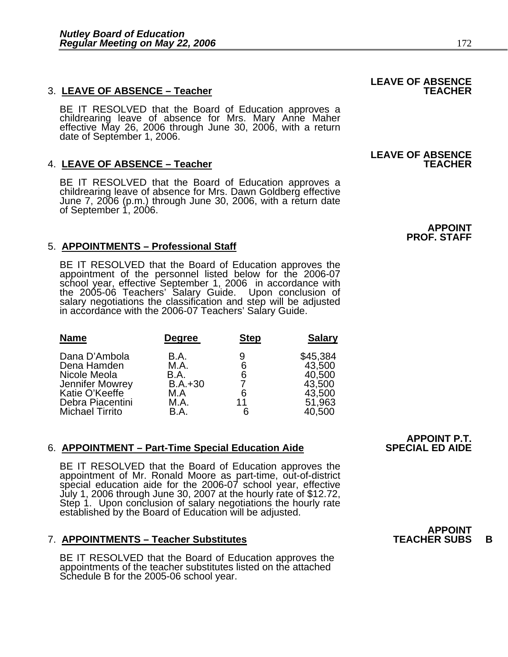### 3. LEAVE OF ABSENCE - Teacher

BE IT RESOLVED that the Board of Education approves a childrearing leave of absence for Mrs. Mary Anne Maher effective May 26, 2006 through June 30, 2006, with a return date of September 1, 2006.

### **4. LEAVE OF ABSENCE - Teacher**

BE IT RESOLVED that the Board of Education approves a childrearing leave of absence for Mrs. Dawn Goldberg effective June 7, 2006 (p.m.) through June 30, 2006, with a return date of September 1, 2006.

#### 5. **APPOINTMENTS – Professional Staff**

BE IT RESOLVED that the Board of Education approves the<br>appointment of the personnel listed below for the 2006-07<br>school year, effective September 1, 2006 in accordance with the 2005-06 Teachers' Salary Guide. Upon conclusion of<br>salary negotiations the classification and step will be adjusted<br>in accordance with the 2006-07 Teachers' Salary Guide.

| <b>Name</b>                                                                                                                     | Degree                                                   | <b>Step</b>            | <b>Salary</b>                                                        |
|---------------------------------------------------------------------------------------------------------------------------------|----------------------------------------------------------|------------------------|----------------------------------------------------------------------|
| Dana D'Ambola<br>Dena Hamden<br>Nicole Meola<br>Jennifer Mowrey<br>Katie O'Keeffe<br>Debra Piacentini<br><b>Michael Tirrito</b> | B.A.<br>M.A.<br>B.A.<br>$B.A.+30$<br>M.A<br>M.A.<br>B.A. | 9<br>6<br>6<br>6<br>11 | \$45,384<br>43,500<br>40,500<br>43,500<br>43,500<br>51,963<br>40,500 |

#### 6. APPOINTMENT – Part-Time Special Education Aide

BE IT RESOLVED that the Board of Education approves the<br>appointment of Mr. Ronald Moore as part-time, out-of-district<br>special education aide for the 2006-07 school year, effective<br>July 1, 2006 through June 30, 2007 at the

#### 7. **APPOINTMENTS – Teacher Substitutes TEACHER SUBS B**

BE IT RESOLVED that the Board of Education approves the appointments of the teacher substitutes listed on the attached Schedule B for the 2005-06 school year.

**APPOINT P.T.**

### **LEAVE OF ABSENCE**

## **LEAVE OF ABSENCE**

 **APPOINT PROF. STAFF** 

**APPOINT<br>TEACHER SUBS**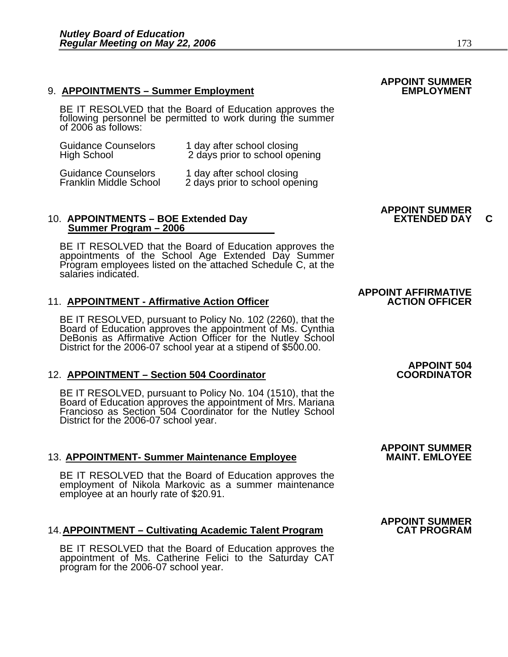#### 9. **APPOINTMENTS – Summer Employment**

BE IT RESOLVED that the Board of Education approves the following personnel be permitted to work during the summer of 2006 as follows:

| <b>Guidance Counselors</b>                                  | 1 day after school closing                                   |
|-------------------------------------------------------------|--------------------------------------------------------------|
| <b>High School</b>                                          | 2 days prior to school opening                               |
| <b>Guidance Counselors</b><br><b>Franklin Middle School</b> | 1 day after school closing<br>2 days prior to school opening |

#### 10. APPOINTMENTS – BOE Extended Day **EXTENDED DAY C Summer Program – 2006**

BE IT RESOLVED that the Board of Education approves the appointments of the School Age Extended Day Summer Program employees listed on the attached Schedule C, at the salaries indicated.

#### **11. APPOINTMENT - Affirmative Action Officer**

BE IT RESOLVED, pursuant to Policy No. 102 (2260), that the Board of Education approves the appointment of Ms. Cynthia DeBonis as Affirmative Action Officer for the Nutley School District for the 2006-07 school year at a s

#### 12. **APPOINTMENT – Section 504 Coordinator**

BE IT RESOLVED, pursuant to Policy No. 104 (1510), that the Board of Education approves the appointment of Mrs. Mariana Francioso as Section 504 Coordinator for the Nutley School District for the 2006-07 school year.

#### **13. APPOINTMENT- Summer Maintenance Employee**

BE IT RESOLVED that the Board of Education approves the employment of Nikola Markovic as a summer maintenance employee at an hourly rate of \$20.91.

#### 14. **APPOINTMENT – Cultivating Academic Talent Program**

BE IT RESOLVED that the Board of Education approves the appointment of Ms. Catherine Felici to the Saturday CAT program for the 2006-07 school year.

### **APPOINT SUMMER**

### **APPOINT SUMMER**

# **APPOINT AFFIRMATIVE**

# **APPOINT 504**

# **APPOINT SUMMER**

### **APPOINT SUMMER**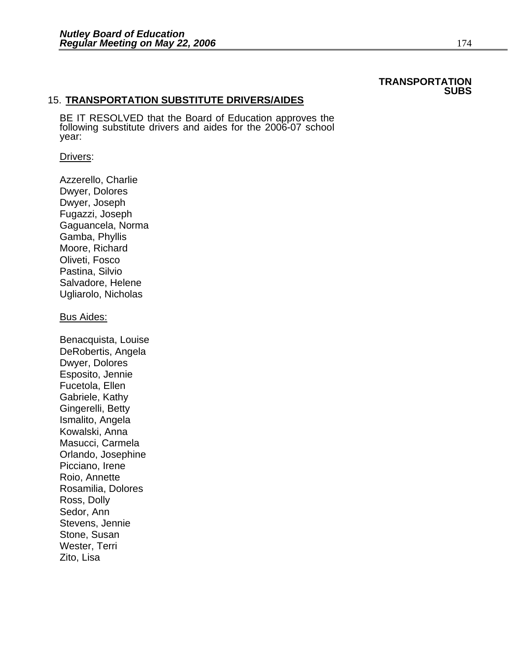#### **TRANSPORTATION SUBS**

#### 15. **TRANSPORTATION SUBSTITUTE DRIVERS/AIDES**

BE IT RESOLVED that the Board of Education approves the following substitute drivers and aides for the 2006-07 school year:

#### Drivers:

Azzerello, Charlie Dwyer, Dolores Dwyer, Joseph Fugazzi, Joseph Gaguancela, Norma Gamba, Phyllis Moore, Richard Oliveti, Fosco Pastina, Silvio Salvadore, Helene Ugliarolo, Nicholas

#### Bus Aides:

Benacquista, Louise DeRobertis, Angela Dwyer, Dolores Esposito, Jennie Fucetola, Ellen Gabriele, Kathy Gingerelli, Betty Ismalito, Angela Kowalski, Anna Masucci, Carmela Orlando, Josephine Picciano, Irene Roio, Annette Rosamilia, Dolores Ross, Dolly Sedor, Ann Stevens, Jennie Stone, Susan Wester, Terri Zito, Lisa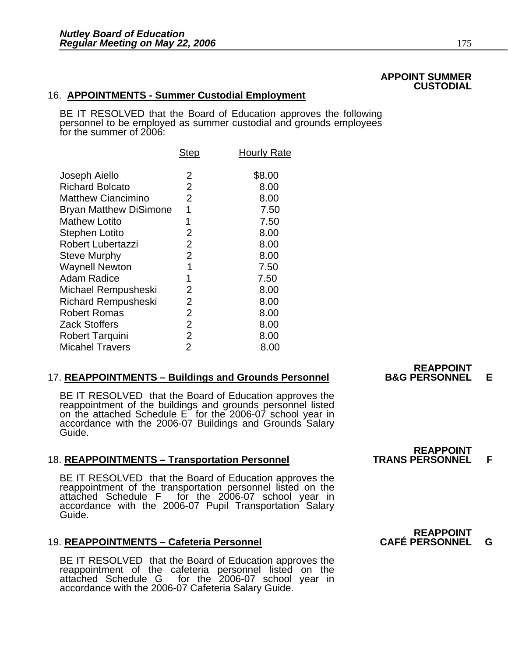#### **APPOINT SUMMER CUSTODIAL**

### 16. **APPOINTMENTS - Summer Custodial Employment**

BE IT RESOLVED that the Board of Education approves the following personnel to be employed as summer custodial and grounds employees for the summer of 2006:

| <b>Step</b>    | <b>Hourly Rate</b> |
|----------------|--------------------|
| 2              | \$8.00             |
| $\overline{2}$ | 8.00               |
| $\overline{2}$ | 8.00               |
| 1              | 7.50               |
| 1              | 7.50               |
| 2              | 8.00               |
| $\overline{2}$ | 8.00               |
| $\overline{2}$ | 8.00               |
| 1              | 7.50               |
| 1              | 7.50               |
| 2              | 8.00               |
| $\overline{2}$ | 8.00               |
| $\overline{2}$ | 8.00               |
| $\overline{2}$ | 8.00               |
| $\overline{2}$ | 8.00               |
| $\overline{2}$ | 8.00               |
|                |                    |

#### 17. **REAPPOINTMENTS – Buildings and Grounds Personnel B&G PERSONNEL E**

BE IT RESOLVED that the Board of Education approves the reappointment of the buildings and grounds personnel listed on the attached Schedule E for the 2006-07 school year in accordance with the 2006-07 Buildings and Ground

#### 18. **REAPPOINTMENTS – Transportation Personnel TRANS PERSONNEL F**

BE IT RESOLVED that the Board of Education approves the reappointment of the transportation personnel listed on the attached Schedule F for the 2006-07 school year in accordance with the 2006-07 Pupil Transportation Salary

#### 19. **REAPPOINTMENTS – Cafeteria Personnel CAFÉ PERSONNEL G**

BE IT RESOLVED that the Board of Education approves the reappointment of the cafeteria personnel listed on the attached Schedule G for the 2006-07 school year in accordance with the 2006-07 Cafeteria Salary Guide.

**REAPPOINT<br>B&G PERSONNEL** 

**REAPPOINT<br>TRANS PERSONNEL** 

### REAPPOINT<br>CAFÉ PERSONNEL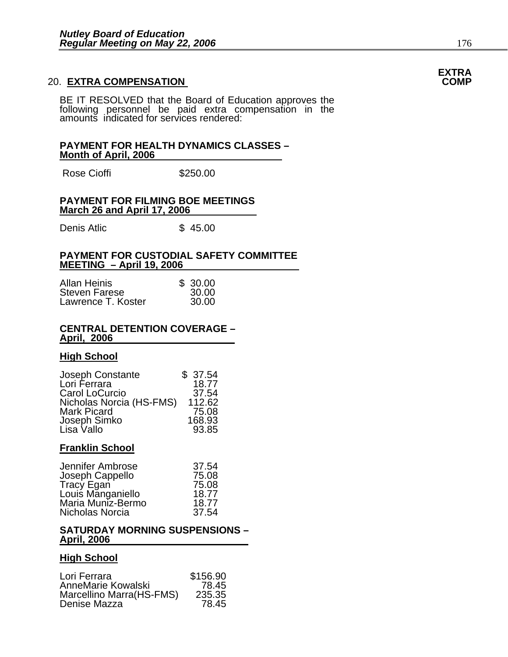### 20. EXTRA COMPENSATION

BE IT RESOLVED that the Board of Education approves the following personnel be paid extra compensation in the amounts indicated for services rendered:

#### **PAYMENT FOR HEALTH DYNAMICS CLASSES – Month of April, 2006**

Rose Cioffi 5250.00

#### **PAYMENT FOR FILMING BOE MEETINGS March 26 and April 17, 2006**

Denis Atlic \$ 45.00

#### **PAYMENT FOR CUSTODIAL SAFETY COMMITTEE MEETING – April 19, 2006**

| <b>Allan Heinis</b>  | \$30.00 |
|----------------------|---------|
| <b>Steven Farese</b> | 30.00   |
| Lawrence T. Koster   | 30.00   |

#### **CENTRAL DETENTION COVERAGE – April, 2006**

#### **High School**

| Joseph Constante         | \$37.54 |
|--------------------------|---------|
| Lori Ferrara             | 18.77   |
| Carol LoCurcio           | 37.54   |
| Nicholas Norcia (HS-FMS) | 112.62  |
| <b>Mark Picard</b>       | 75.08   |
| Joseph Simko             | 168.93  |
| Lisa Vallo               | 93.85   |

#### **Franklin School**

| Jennifer Ambrose                | 37.54 |
|---------------------------------|-------|
| Joseph Cappello                 | 75.08 |
| Tracy Egan<br>Louis Manganiello | 75.08 |
|                                 | 18.77 |
| Maria Muníz-Bermo               | 18.77 |
| Nicholas Norcia                 | 37.54 |

#### **SATURDAY MORNING SUSPENSIONS – April, 2006**

#### **High School**

| \$156.90 |
|----------|
| 78.45    |
| 235.35   |
| 78.45    |
|          |

### **EXTRA**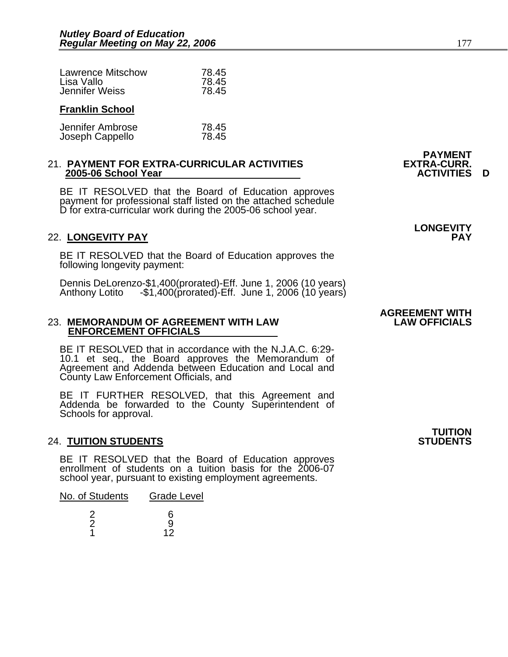| <b>Lawrence Mitschow</b> | 78.45 |
|--------------------------|-------|
| Lisa Vallo               | 78.45 |
| Jennifer Weiss           | 78.45 |
| <b>Franklin School</b>   |       |

#### Jennifer Ambrose 78.45 Joseph Cappello

#### 21. **PAYMENT FOR EXTRA-CURRICULAR ACTIVITIES EXTRA-CURR. 2005-06 School Year**

BE IT RESOLVED that the Board of Education approves payment for professional staff listed on the attached schedule D for extra-curricular work during the 2005-06 school year.

#### 22. **LONGEVITY PAY PAY**

BE IT RESOLVED that the Board of Education approves the following longevity payment:

Dennis DeLorenzo-\$1,400(prorated)-Eff. June 1, 2006 (10 years) Anthony Lotito -\$1,400(prorated)-Eff. June 1, 2006 (10 years)

#### **23. MEMORANDUM OF AGREEMENT WITH LAW ENFORCEMENT OFFICIALS**

BE IT RESOLVED that in accordance with the N.J.A.C. 6:29- 10.1 et seq., the Board approves the Memorandum of Agreement and Addenda between Education and Local and County Law Enforcement Officials, and

BE IT FURTHER RESOLVED, that this Agreement and Addenda be forwarded to the County Superintendent of Schools for approval.

#### 24. **TUITION STUDENTS**

BE IT RESOLVED that the Board of Education approves enrollment of students on a tuition basis for the 2006-07 school year, pursuant to existing employment agreements.

| No. of Students | <b>Grade Level</b> |
|-----------------|--------------------|
| 2<br>2          | ิค<br>q<br>12      |

**PAYMENT** 

## **LONGEVITY**

### **AGREEMENT WITH**

**TUITION**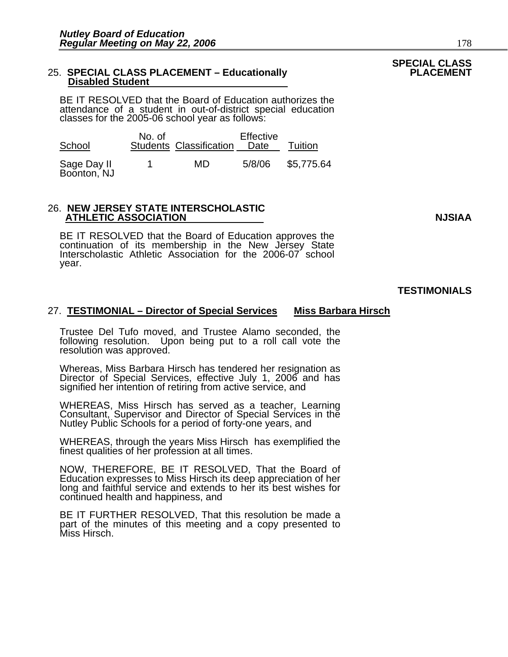#### 25. **SPECIAL CLASS PLACEMENT - Educationally Disabled Student**

BE IT RESOLVED that the Board of Education authorizes the attendance of a student in out-of-district special education classes for the 2005-06 school year as follows:

| School                     | No. of | <b>Students Classification</b> | Effective<br>Date | Tuition    |
|----------------------------|--------|--------------------------------|-------------------|------------|
| Sage Day II<br>Boonton, NJ |        | MD                             | 5/8/06            | \$5,775.64 |

26. **NEW JERSEY STATE INTERSCHOLASTIC ATHLETIC ASSOCIATION NJSIAA** 

BE IT RESOLVED that the Board of Education approves the continuation of its membership in the New Jersey State Interscholastic Athletic Association for the 2006-07 school year. ĺ

### 27. **TESTIMONIAL – Director of Special Services Miss Barbara Hirsch**

Trustee Del Tufo moved, and Trustee Alamo seconded, the following resolution. Upon being put to a roll call vote the resolution was approved.

Whereas, Miss Barbara Hirsch has tendered her resignation as Director of Special Services, effective July 1, 2006 and has signified her intention of retiring from active service, and

WHEREAS, Miss Hirsch has served as a teacher, Learning Consultant, Supervisor and Director of Special Services in the Nutley Public Schools for a period of forty-one years, and

WHEREAS, through the years Miss Hirsch has exemplified the finest qualities of her profession at all times.

NOW, THEREFORE, BE IT RESOLVED, That the Board of Education expresses to Miss Hirsch its deep appreciation of her long and faithful service and extends to her its best wishes for continued health and happiness, and

BE IT FURTHER RESOLVED, That this resolution be made a part of the minutes of this meeting and a copy presented to Miss Hirsch. **TESTIMONIALS** 

## **SPECIAL CLASS**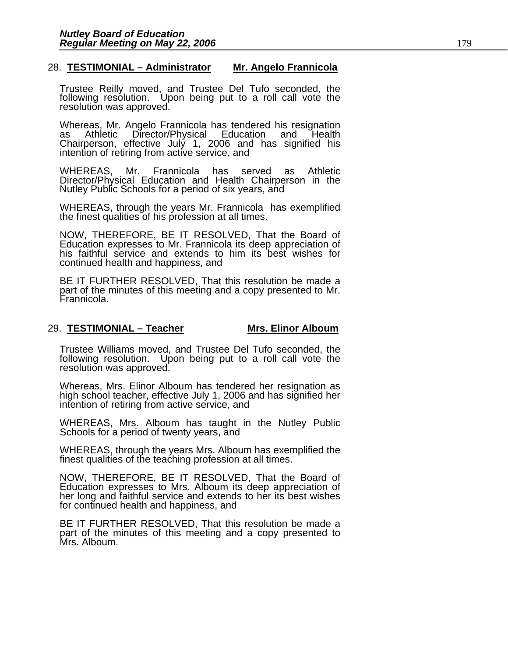#### 28. **TESTIMONIAL – Administrator Mr. Angelo Frannicola**

Trustee Reilly moved, and Trustee Del Tufo seconded, the following resolution. Upon being put to a roll call vote the resolution was approved.

Whereas, Mr. Angelo Frannicola has tendered his resignation<br>as Athletic Director/Physical Education and Health Chairperson, effective July 1, 2006 and has signified his intention of retiring from active service, and

WHEREAS, Mr. Frannicola has served as Athletic Director/Physical Education and Health Chairperson in the Nutley Public Schools for a period of six years, and

WHEREAS, through the years Mr. Frannicola has exemplified the finest qualities of his profession at all times.

NOW, THEREFORE, BE IT RESOLVED, That the Board of Education expresses to Mr. Frannicola its deep appreciation of his faithful service and extends to him its best wishes for continued health and happiness, and

BE IT FURTHER RESOLVED, That this resolution be made a part of the minutes of this meeting and a copy presented to Mr. Frannicola.

#### 29. **TESTIMONIAL – Teacher Mrs. Elinor Alboum**

Trustee Williams moved, and Trustee Del Tufo seconded, the following resolution. Upon being put to a roll call vote the resolution was approved.

Whereas, Mrs. Elinor Alboum has tendered her resignation as<br>high school teacher, effective July 1, 2006 and has signified her<br>intention of retiring from active service, and

WHEREAS, Mrs. Alboum has taught in the Nutley Public Schools for a period of twenty years, and

WHEREAS, through the years Mrs. Alboum has exemplified the finest qualities of the teaching profession at all times.

NOW, THEREFORE, BE IT RESOLVED, That the Board of Education expresses to Mrs. Alboum its deep appreciation of her long and faithful service and extends to her its best wishes for continued health and happiness, and

BE IT FURTHER RESOLVED, That this resolution be made a part of the minutes of this meeting and a copy presented to Mrs. Alboum.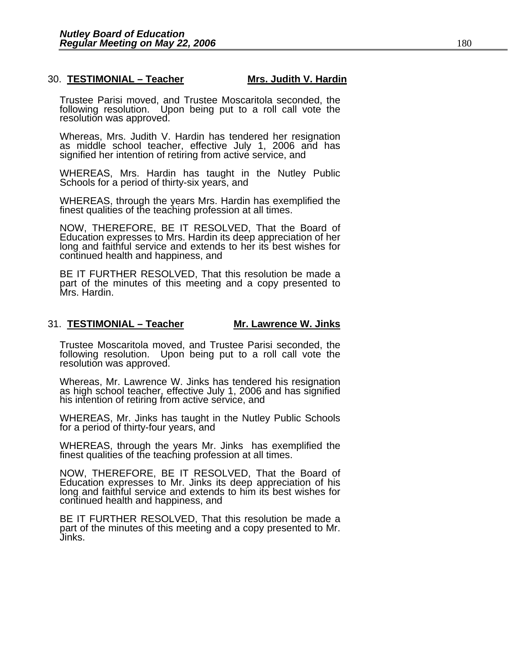#### 30. **TESTIMONIAL – Teacher Mrs. Judith V. Hardin**

Trustee Parisi moved, and Trustee Moscaritola seconded, the following resolution. Upon being put to a roll call vote the resolution was approved.

Whereas, Mrs. Judith V. Hardin has tendered her resignation as middle school teacher, effective July 1, 2006 and has signified her intention of retiring from active service, and

WHEREAS, Mrs. Hardin has taught in the Nutley Public Schools for a period of thirty-six years, and

WHEREAS, through the years Mrs. Hardin has exemplified the finest qualities of the teaching profession at all times.

NOW, THEREFORE, BE IT RESOLVED, That the Board of Education expresses to Mrs. Hardin its deep appreciation of her long and faithful service and extends to her its best wishes for continued health and happiness, and

BE IT FURTHER RESOLVED, That this resolution be made a part of the minutes of this meeting and a copy presented to Mrs. Hardin.

#### 31. **TESTIMONIAL – Teacher Mr. Lawrence W. Jinks**

Trustee Moscaritola moved, and Trustee Parisi seconded, the following resolution. Upon being put to a roll call vote the resolution was approved.

Whereas, Mr. Lawrence W. Jinks has tendered his resignation as high school teacher, effective July 1, 2006 and has signified his intention of retiring from active service, and

WHEREAS, Mr. Jinks has taught in the Nutley Public Schools for a period of thirty-four years, and

WHEREAS, through the years Mr. Jinks has exemplified the finest qualities of the teaching profession at all times.

NOW, THEREFORE, BE IT RESOLVED, That the Board of Education expresses to Mr. Jinks its deep appreciation of his long and faithful service and extends to him its best wishes for continued health and happiness, and

BE IT FURTHER RESOLVED, That this resolution be made a part of the minutes of this meeting and a copy presented to Mr. Jinks.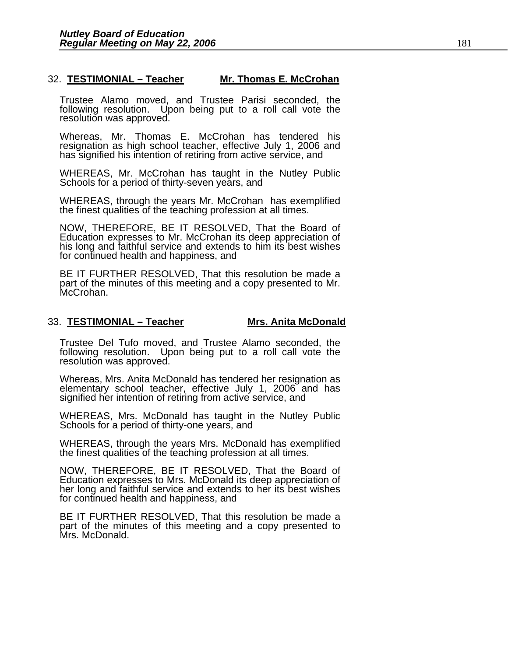#### 32. **TESTIMONIAL – Teacher Mr. Thomas E. McCrohan**

Trustee Alamo moved, and Trustee Parisi seconded, the following resolution. Upon being put to a roll call vote the resolution was approved.

Whereas, Mr. Thomas E. McCrohan has tendered his resignation as high school teacher, effective July 1, 2006 and has signified his intention of retiring from active service, and

WHEREAS, Mr. McCrohan has taught in the Nutley Public Schools for a period of thirty-seven years, and

WHEREAS, through the years Mr. McCrohan has exemplified the finest qualities of the teaching profession at all times.

NOW, THEREFORE, BE IT RESOLVED, That the Board of Education expresses to Mr. McCrohan its deep appreciation of his long and faithful service and extends to him its best wishes for continued health and happiness, and

BE IT FURTHER RESOLVED, That this resolution be made a part of the minutes of this meeting and a copy presented to Mr. McCrohan.

#### 33. **TESTIMONIAL – Teacher Mrs. Anita McDonald**

Trustee Del Tufo moved, and Trustee Alamo seconded, the following resolution. Upon being put to a roll call vote the resolution was approved.

Whereas, Mrs. Anita McDonald has tendered her resignation as elementary school teacher, effective July 1, 2006 and has signified her intention of retiring from active service, and

WHEREAS, Mrs. McDonald has taught in the Nutley Public Schools for a period of thirty-one years, and

WHEREAS, through the years Mrs. McDonald has exemplified the finest qualities of the teaching profession at all times.

NOW, THEREFORE, BE IT RESOLVED, That the Board of Education expresses to Mrs. McDonald its deep appreciation of her long and faithful service and extends to her its best wishes for continued health and happiness, and

BE IT FURTHER RESOLVED, That this resolution be made a part of the minutes of this meeting and a copy presented to Mrs. McDonald.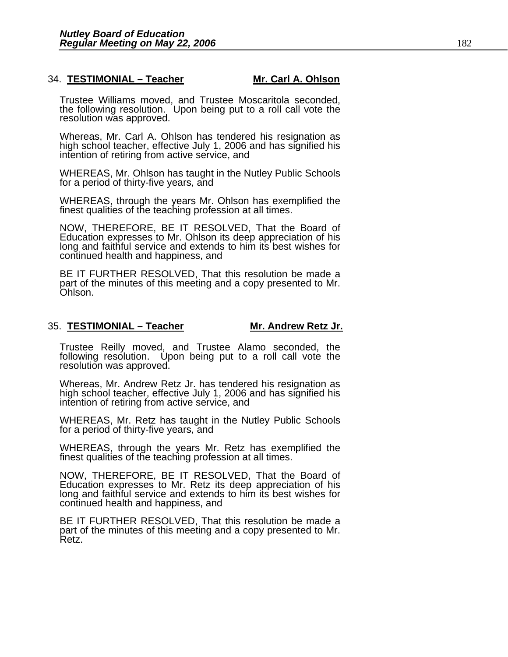#### 34. **TESTIMONIAL – Teacher Mr. Carl A. Ohlson**

Trustee Williams moved, and Trustee Moscaritola seconded, the following resolution. Upon being put to a roll call vote the resolution was approved.

Whereas, Mr. Carl A. Ohlson has tendered his resignation as high school teacher, effective July 1, 2006 and has signified his intention of retiring from active service, and

WHEREAS, Mr. Ohlson has taught in the Nutley Public Schools for a period of thirty-five years, and

WHEREAS, through the years Mr. Ohlson has exemplified the finest qualities of the teaching profession at all times.

NOW, THEREFORE, BE IT RESOLVED, That the Board of Education expresses to Mr. Ohlson its deep appreciation of his long and faithful service and extends to him its best wishes for continued health and happiness, and

BE IT FURTHER RESOLVED, That this resolution be made a part of the minutes of this meeting and a copy presented to Mr. Ohlson.

#### 35. **TESTIMONIAL – Teacher Mr. Andrew Retz Jr.**

Trustee Reilly moved, and Trustee Alamo seconded, the following resolution. Upon being put to a roll call vote the resolution was approved.

Whereas, Mr. Andrew Retz Jr. has tendered his resignation as high school teacher, effective July 1, 2006 and has signified his intention of retiring from active service, and

WHEREAS, Mr. Retz has taught in the Nutley Public Schools for a period of thirty-five years, and

WHEREAS, through the years Mr. Retz has exemplified the finest qualities of the teaching profession at all times.

NOW, THEREFORE, BE IT RESOLVED, That the Board of Education expresses to Mr. Retz its deep appreciation of his long and faithful service and extends to him its best wishes for continued health and happiness, and

BE IT FURTHER RESOLVED, That this resolution be made a part of the minutes of this meeting and a copy presented to Mr.<br>Retz.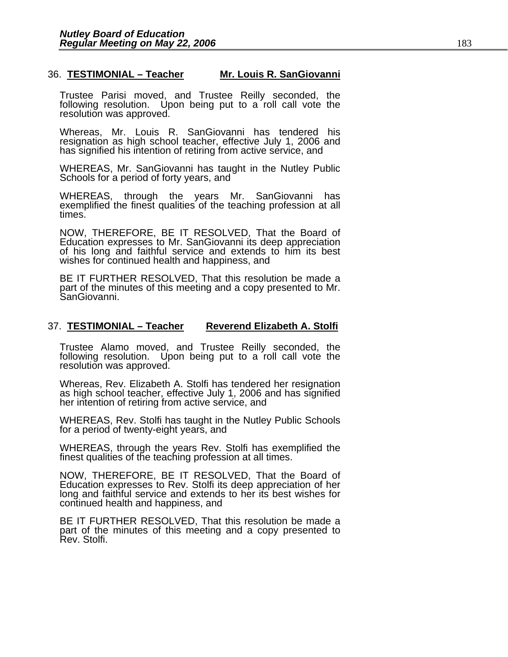#### 36. **TESTIMONIAL – Teacher Mr. Louis R. SanGiovanni**

Trustee Parisi moved, and Trustee Reilly seconded, the following resolution. Upon being put to a roll call vote the resolution was approved.

Whereas, Mr. Louis R. SanGiovanni has tendered his resignation as high school teacher, effective July 1, 2006 and has signified his intention of retiring from active service, and

WHEREAS, Mr. SanGiovanni has taught in the Nutley Public Schools for a period of forty years, and

WHEREAS, through the years Mr. SanGiovanni has exemplified the finest qualities of the teaching profession at all times.

NOW, THEREFORE, BE IT RESOLVED, That the Board of Education expresses to Mr. SanGiovanni its deep appreciation of his long and faithful service and extends to him its best wishes for continued health and happiness, and

BE IT FURTHER RESOLVED, That this resolution be made a part of the minutes of this meeting and a copy presented to Mr. SanGiovanni.

#### 37. **TESTIMONIAL – Teacher Reverend Elizabeth A. Stolfi**

Trustee Alamo moved, and Trustee Reilly seconded, the following resolution. Upon being put to a roll call vote the resolution was approved.

Whereas, Rev. Elizabeth A. Stolfi has tendered her resignation as high school teacher, effective July 1, 2006 and has signified her intention of retiring from active service, and

WHEREAS, Rev. Stolfi has taught in the Nutley Public Schools for a period of twenty-eight years, and

WHEREAS, through the years Rev. Stolfi has exemplified the finest qualities of the teaching profession at all times.

NOW, THEREFORE, BE IT RESOLVED, That the Board of long and faithful service and extends to her its best wishes for continued health and happiness, and

BE IT FURTHER RESOLVED, That this resolution be made a part of the minutes of this meeting and a copy presented to Rev. Stolfi.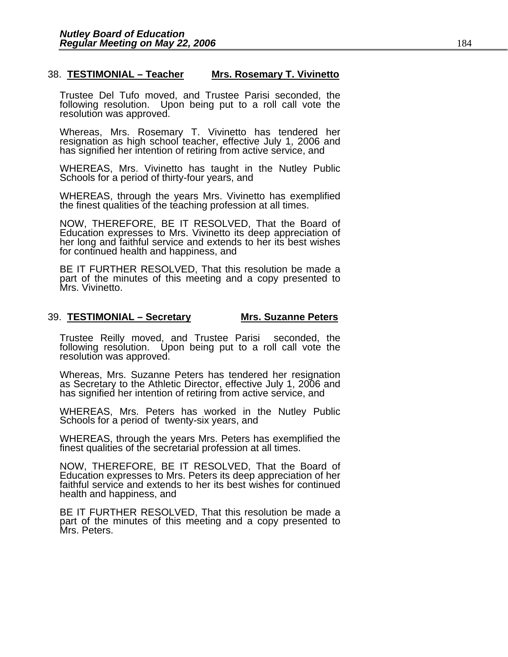#### 38. **TESTIMONIAL – Teacher Mrs. Rosemary T. Vivinetto**

Trustee Del Tufo moved, and Trustee Parisi seconded, the following resolution. Upon being put to a roll call vote the resolution was approved.

Whereas, Mrs. Rosemary T. Vivinetto has tendered her resignation as high school teacher, effective July 1, 2006 and has signified her intention of retiring from active service, and

WHEREAS, Mrs. Vivinetto has taught in the Nutley Public Schools for a period of thirty-four years, and

WHEREAS, through the years Mrs. Vivinetto has exemplified the finest qualities of the teaching profession at all times.

NOW, THEREFORE, BE IT RESOLVED, That the Board of Education expresses to Mrs. Vivinetto its deep appreciation of her long and faithful service and extends to her its best wishes for continued health and happiness, and

BE IT FURTHER RESOLVED, That this resolution be made a part of the minutes of this meeting and a copy presented to Mrs. Vivinetto.

#### 39. **TESTIMONIAL – Secretary Mrs. Suzanne Peters**

Trustee Reilly moved, and Trustee Parisi seconded, the following resolution. Upon being put to a roll call vote the resolution was approved.

Whereas, Mrs. Suzanne Peters has tendered her resignation as Secretary to the Athletic Director, effective July 1, 2006 and has signified her intention of retiring from active service, and

WHEREAS, Mrs. Peters has worked in the Nutley Public Schools for a period of twenty-six years, and

WHEREAS, through the years Mrs. Peters has exemplified the finest qualities of the secretarial profession at all times.

NOW, THEREFORE, BE IT RESOLVED, That the Board of Education expresses to Mrs. Peters its deep appreciation of her faithful service and extends to her its best wishes for continued health and happiness, and

BE IT FURTHER RESOLVED, That this resolution be made a part of the minutes of this meeting and a copy presented to Mrs. Peters.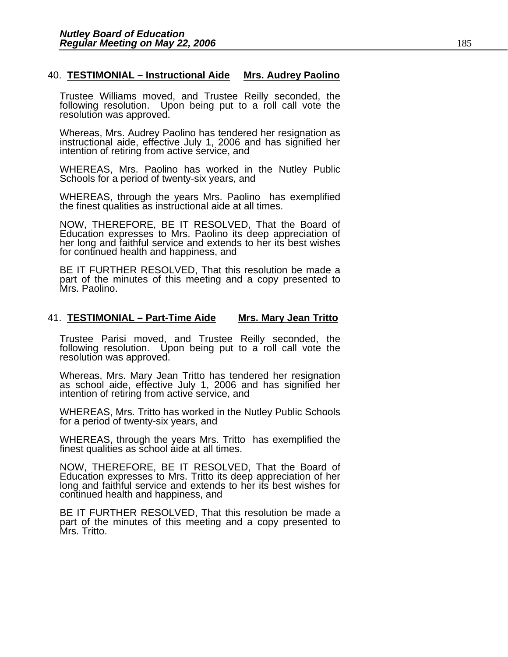#### 40. **TESTIMONIAL – Instructional Aide Mrs. Audrey Paolino**

Trustee Williams moved, and Trustee Reilly seconded, the following resolution. Upon being put to a roll call vote the resolution was approved.

Whereas, Mrs. Audrey Paolino has tendered her resignation as instructional aide, effective July 1, 2006 and has signified her intention of retiring from active service, and

WHEREAS, Mrs. Paolino has worked in the Nutley Public Schools for a period of twenty-six years, and

WHEREAS, through the years Mrs. Paolino has exemplified the finest qualities as instructional aide at all times.

NOW, THEREFORE, BE IT RESOLVED, That the Board of Education expresses to Mrs. Paolino its deep appreciation of her long and faithful service and extends to her its best wishes for continued health and happiness, and

BE IT FURTHER RESOLVED, That this resolution be made a part of the minutes of this meeting and a copy presented to Mrs. Paolino.

#### 41. **TESTIMONIAL – Part-Time Aide Mrs. Mary Jean Tritto**

Trustee Parisi moved, and Trustee Reilly seconded, the following resolution. Upon being put to a roll call vote the resolution was approved.

Whereas, Mrs. Mary Jean Tritto has tendered her resignation as school aide, effective July 1, 2006 and has signified her intention of retiring from active service, and

WHEREAS, Mrs. Tritto has worked in the Nutley Public Schools for a period of twenty-six years, and

WHEREAS, through the years Mrs. Tritto has exemplified the finest qualities as school aide at all times.

NOW, THEREFORE, BE IT RESOLVED, That the Board of Education expresses to Mrs. Tritto its deep appreciation of her long and faithful service and extends to her its best wishes for continued health and happiness, and

BE IT FURTHER RESOLVED, That this resolution be made a part of the minutes of this meeting and a copy presented to Mrs. Tritto.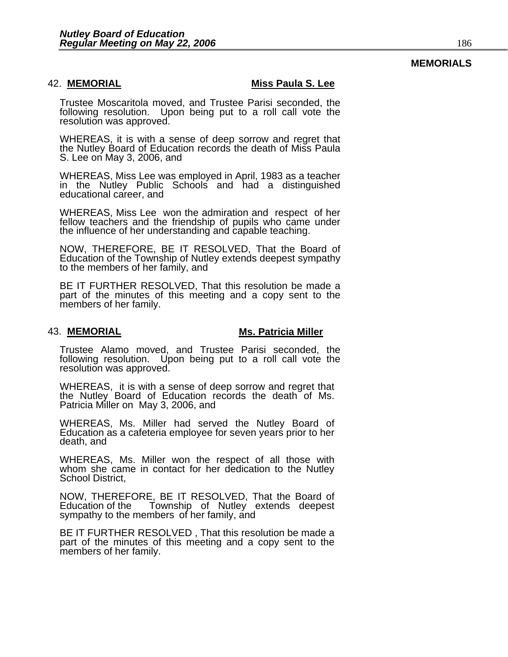#### **MEMORIALS**

42. **MEMORIAL Miss Paula S. Lee** 

Trustee Moscaritola moved, and Trustee Parisi seconded, the following resolution. Upon being put to a roll call vote the resolution was approved.

WHEREAS, it is with a sense of deep sorrow and regret that the Nutley Board of Education records the death of Miss Paula S. Lee on May 3, 2006, and

WHEREAS, Miss Lee was employed in April, 1983 as a teacher in the Nutley Public Schools and had a distinguished educational career, and

WHEREAS, Miss Lee won the admiration and respect of her fellow teachers and the friendship of pupils who came under the influence of her understanding and capable teaching.

NOW, THEREFORE, BE IT RESOLVED, That the Board of Education of the Township of Nutley extends deepest sympathy to the members of her family, and

BE IT FURTHER RESOLVED, That this resolution be made a part of the minutes of this meeting and a copy sent to the members of her family.

#### 43. **MEMORIAL Miller** Ms. Patricia Miller

Trustee Alamo moved, and Trustee Parisi seconded, the following resolution. Upon being put to a roll call vote the resolution was approved.

WHEREAS, it is with a sense of deep sorrow and regret that the Nutley Board of Education records the death of Ms. Patricia Miller on May 3, 2006, and

WHEREAS, Ms. Miller had served the Nutley Board of Education as a cafeteria employee for seven years prior to her death, and

WHEREAS, Ms. Miller won the respect of all those with whom she came in contact for her dedication to the Nutley School District,

NOW, THEREFORE, BE IT RESOLVED, That the Board of Education of the Township of Nutley extends deepest sympathy to the members of her family, and

BE IT FURTHER RESOLVED , That this resolution be made a part of the minutes of this meeting and a copy sent to the members of her family.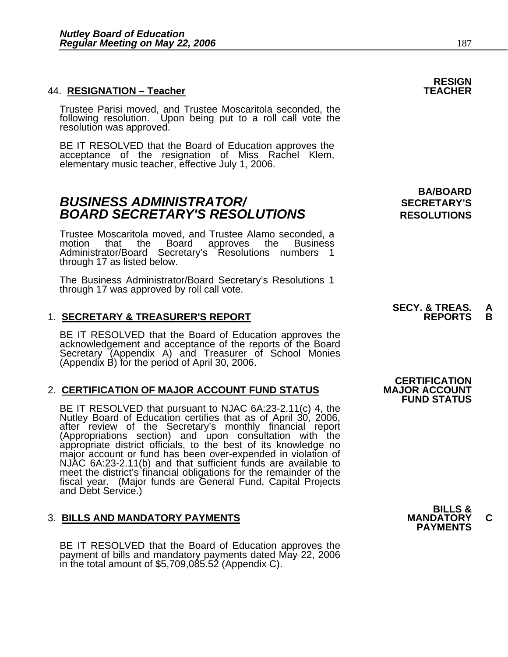#### **44. RESIGNATION - Teacher**

Trustee Parisi moved, and Trustee Moscaritola seconded, the following resolution. Upon being put to a roll call vote the resolution was approved.

BE IT RESOLVED that the Board of Education approves the acceptance of the resignation of Miss Rachel Klem, elementary music teacher, effective July 1, 2006.

### **BUSINESS ADMINISTRATOR/** *BUSINESS ADMINISTRATOR/* **BOARD SECRETARY'S RESOLUTIONS** RESOLUTIONS

Trustee Moscaritola moved, and Trustee Alamo seconded, a approves the Business Administrator/Board Secretary's Resolutions numbers 1<br>through 17 as listed below.

The Business Administrator/Board Secretary's Resolutions 1 through 17 was approved by roll call vote.

### 1. <u>SECRETARY & TREASURER'S REPORT</u>

BE IT RESOLVED that the Board of Education approves the<br>acknowledgement and acceptance of the reports of the Board<br>Secretary (Appendix A) and Treasurer of School Monies (Appendix B) for the period of April 30, 2006.

#### 2. **CERTIFICATION OF MAJOR ACCOUNT FUND STATUS**

BE IT RESOLVED that pursuant to NJAC 6A:23-2.11(c) 4, the<br>Nutley Board of Education certifies that as of April 30, 2006,<br>after review of the Secretary's monthly financial report<br>(Appropriations section) and upon consultati meet the district's financial obligations for the remainder of the fiscal year. (Major funds are General Fund, Capital Projects and Debt Service.)

### 3. **BILLS AND MANDATORY PAYMENTS MANDATORY C PAYMENTS**

BE IT RESOLVED that the Board of Education approves the payment of bills and mandatory payments dated May 22, 2006 in the total amount of \$5,709,085.52 (Appendix C).

**BA/BOARD** 

## **SECY. & TREAS. A**

**CERTIFICATION<br>MAJOR ACCOUNT FUND STATUS** 

**RESIGN**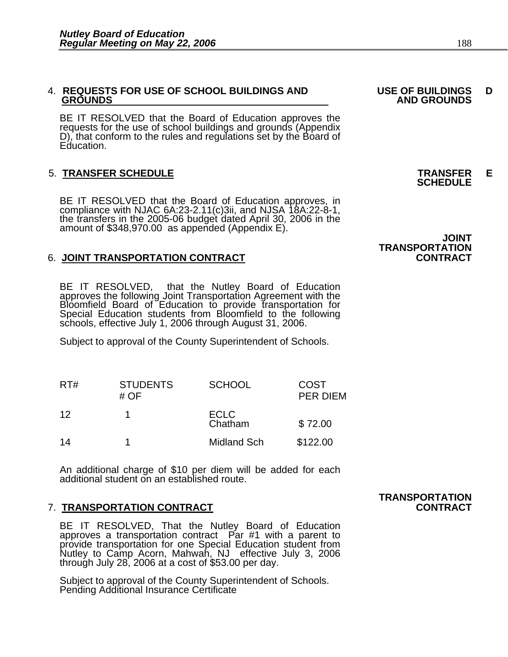### 4. **REQUESTS FOR USE OF SCHOOL BUILDINGS AND USE OF BUILDINGS D**

BE IT RESOLVED that the Board of Education approves the requests for the use of school buildings and grounds (Appendix D), that conform to the rules and regulations set by the Board of Education.

### 5. **TRANSFER SCHEDULE TRANSFER E SCHEDULE**

BE IT RESOLVED that the Board of Education approves, in compliance with NJAC 6A:23-2.11(c)3ii, and NJSA 18A:22-8-1, the transfers in the 2005-06 budget dated April 30, 2006 in the amount of \$348,970.00 as appended (Appendi

### 6. **JOINT TRANSPORTATION CONTRACT CONTRACT**

BE IT RESOLVED, that the Nutley Board of Education<br>approves the following Joint Transportation Agreement with the<br>Bloomfield Board of Education to provide transportation for Special Education students from Bloomfield to the following<br>schools, effective July 1, 2006 through August 31, 2006.

Subject to approval of the County Superintendent of Schools.

| RT# | <b>STUDENTS</b><br># OF | <b>SCHOOL</b>          | <b>COST</b><br><b>PER DIEM</b> |
|-----|-------------------------|------------------------|--------------------------------|
| 12  |                         | <b>ECLC</b><br>Chatham | \$72.00                        |
| 14  |                         | <b>Midland Sch</b>     | \$122.00                       |

An additional charge of \$10 per diem will be added for each additional student on an established route.

#### 7. **TRANSPORTATION CONTRACT CONTRACT**

BE IT RESOLVED, That the Nutley Board of Education approves a transportation contract Par #1 with a parent to provide transportation for one Special Education student from<br>Nutley to Camp Acorn, Mahwah, NJ effective July 3, 2006<br>through July 28, 2006 at a cost of \$53.00 per day.

Subject to approval of the County Superintendent of Schools. Pending Additional Insurance Certificate

## **JOINT**

 **GROUNDS AND GROUNDS** 

### **TRANSPORTATION**

## **TRANSPORTATION**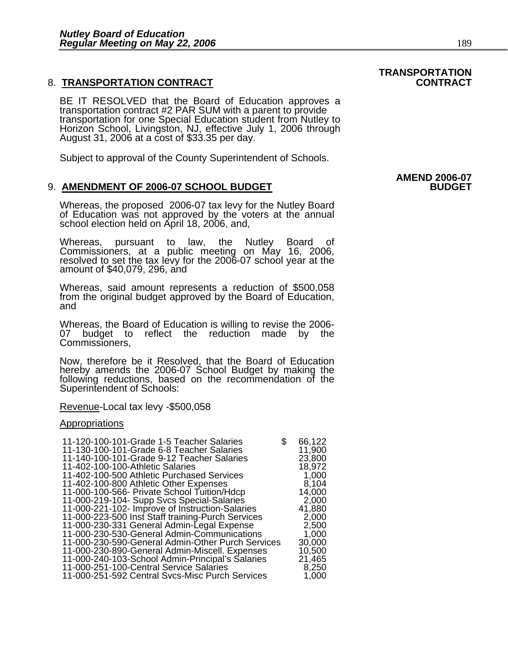#### 8. **TRANSPORTATION CONTRACT CONTRACT**

BE IT RESOLVED that the Board of Education approves a transportation contract #2 PAR SUM with a parent to provide transportation for one Special Education student from Nutley to Horizon School, Livingston, NJ, effective July 1, 2006 through August 31, 2006 at a cost of \$33.35 per day.

Subject to approval of the County Superintendent of Schools.

#### 9. AMENDMENT OF 2006-07 SCHOOL BUDGET

Whereas, the proposed 2006-07 tax levy for the Nutley Board of Education was not approved by the voters at the annual school election held on April 18, 2006, and,

Whereas, pursuant to law, the Nutley Board of Commissioners, at a public meeting on May 16, 2006, resolved to set the tax levy for the 2006-07 school year at the amount of \$40,079, 296, and

Whereas, said amount represents a reduction of \$500,058 from the original budget approved by the Board of Education, and

Whereas, the Board of Education is willing to revise the 2006- 07 budget to reflect the reduction made by the Commissioners,

Now, therefore be it Resolved, that the Board of Education hereby amends the 2006-07 School Budget by making the following reductions, based on the recommendation of the Superintendent of Schools:

#### Revenue-Local tax levy -\$500,058

#### Appropriations

| 11-120-100-101-Grade 1-5 Teacher Salaries<br>\$.<br>11-130-100-101-Grade 6-8 Teacher Salaries | 66,122<br>11,900 |
|-----------------------------------------------------------------------------------------------|------------------|
| 11-140-100-101-Grade 9-12 Teacher Salaries                                                    | 23,800           |
| 11-402-100-100-Athletic Salaries                                                              | 18,972           |
| 11-402-100-500 Athletic Purchased Services                                                    | 1,000            |
| 11-402-100-800 Athletic Other Expenses                                                        | 8,104            |
| 11-000-100-566- Private School Tuition/Hdcp                                                   | 14,000           |
| 11-000-219-104- Supp Svcs Special-Salaries                                                    | 2,000            |
| 11-000-221-102- Improve of Instruction-Salaries                                               | 41,880           |
| 11-000-223-500 Inst Staff training-Purch Services                                             | 2,000            |
| 11-000-230-331 General Admin-Legal Expense                                                    | 2,500            |
| 11-000-230-530-General Admin-Communications                                                   | 1,000            |
| 11-000-230-590-General Admin-Other Purch Services                                             | 30,000           |
| 11-000-230-890-General Admin-Miscell. Expenses                                                | 10,500           |
| 11-000-240-103-School Admin-Principal's Salaries                                              | 21,465           |
| 11-000-251-100-Central Service Salaries                                                       | 8,250            |
| 11-000-251-592 Central Svcs-Misc Purch Services                                               | 1,000            |

### **AMEND 2006-07**

**TRANSPORTATION**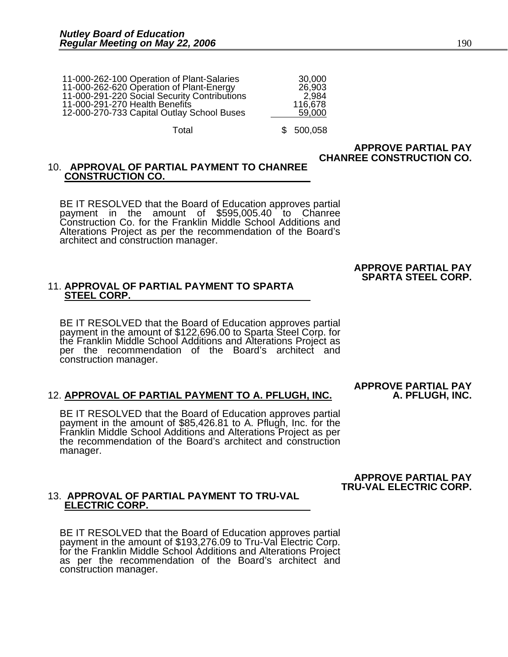| 11-000-262-100 Operation of Plant-Salaries   | 30,000  |
|----------------------------------------------|---------|
| 11-000-262-620 Operation of Plant-Energy     | 26,903  |
| 11-000-291-220 Social Security Contributions | 2.984   |
| 11-000-291-270 Health Benefits               | 116,678 |
| 12-000-270-733 Capital Outlay School Buses   | 59,000  |
|                                              |         |

Total **\$** 500,058

#### **APPROVE PARTIAL PAY CHANREE CONSTRUCTION CO.**

### 10. **APPROVAL OF PARTIAL PAYMENT TO CHANREE CONSTRUCTION CO.**

BE IT RESOLVED that the Board of Education approves partial payment in the amount of \$595,005.40 to Chanree Construction Co. for the Franklin Middle School Additions and Alterations Project as per the recommendation of the Board's architect and construction manager.

#### **APPROVE PARTIAL PAY SPARTA STEEL CORP.**

### 11. **APPROVAL OF PARTIAL PAYMENT TO SPARTA STEEL CORP.**

BE IT RESOLVED that the Board of Education approves partial payment in the amount of \$122,696.00 to Sparta Steel Corp. for<br>the Franklin Middle School Additions and Alterations Project as<br>per the recommendation of the Board's architect and construction manager.

#### 12. **APPROVAL OF PARTIAL PAYMENT TO A. PFLUGH, INC. A. PFLUGH, INC.**

BE IT RESOLVED that the Board of Education approves partial payment in the amount of \$85,426.81 to A. Pflugh, Inc. for the Franklin Middle School Additions and Alterations Project as per the recommendation of the Board's architect and construction manager.

**APPROVE PARTIAL PAY** 

#### **APPROVE PARTIAL PAY TRU-VAL ELECTRIC CORP.**

## 13. **APPROVAL OF PARTIAL PAYMENT TO TRU-VAL ELECTRIC CORP.**

BE IT RESOLVED that the Board of Education approves partial payment in the amount of \$193,276.09 to Tru-Val Electric Corp. for the Franklin Middle School Additions and Alterations Project as per the recommendation of the Board's architect and construction manager.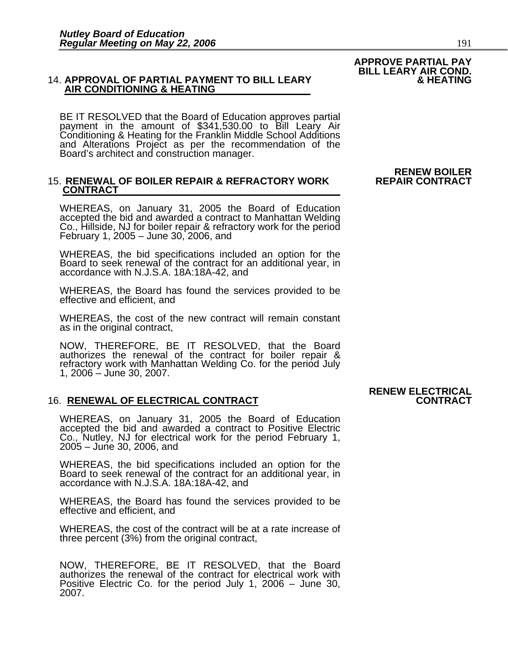### 14. **APPROVAL OF PARTIAL PAYMENT TO BILL LEARY & HEATING AIR CONDITIONING & HEATING**

BE IT RESOLVED that the Board of Education approves partial payment in the amount of \$341,530.00 to Bill Leary Air Conditioning & Heating for the Franklin Middle School Additions and Alterations Project as per the recommendation of the Board's architect and construction manager.

#### 15. **RENEWAL OF BOILER REPAIR & REFRACTORY WORK CONTRACT**

WHEREAS, on January 31, 2005 the Board of Education accepted the bid and awarded a contract to Manhattan Welding Co., Hillside, NJ for boiler repair & refractory work for the period February 1, 2005 – June 30, 2006, and

WHEREAS, the bid specifications included an option for the Board to seek renewal of the contract for an additional year, in accordance with N.J.S.A. 18A:18A-42, and

WHEREAS, the Board has found the services provided to be effective and efficient, and

WHEREAS, the cost of the new contract will remain constant as in the original contract,

NOW, THEREFORE, BE IT RESOLVED, that the Board authorizes the renewal of the contract for boiler repair & refractory work with Manhattan Welding Co. for the period July 1, 2006 – June 30, 2007.

#### 16. **RENEWAL OF ELECTRICAL CONTRACT CONTRACT**

WHEREAS, on January 31, 2005 the Board of Education accepted the bid and awarded a contract to Positive Electric Co., Nutley, NJ for electrical work for the period February 1, 2005 – June 30, 2006, and

WHEREAS, the bid specifications included an option for the Board to seek renewal of the contract for an additional year, in accordance with N.J.S.A. 18A:18A-42, and

WHEREAS, the Board has found the services provided to be effective and efficient, and

WHEREAS, the cost of the contract will be at a rate increase of three percent (3%) from the original contract,

NOW, THEREFORE, BE IT RESOLVED, that the Board authorizes the renewal of the contract for electrical work with Positive Electric Co. for the period July 1, 2006 – June 30, 2007.

### **RENEW ELECTRICAL<br>CONTRACT**

**RENEW BOILER** 

### **APPROVE PARTIAL PAY BILL LEARY AIR COND.**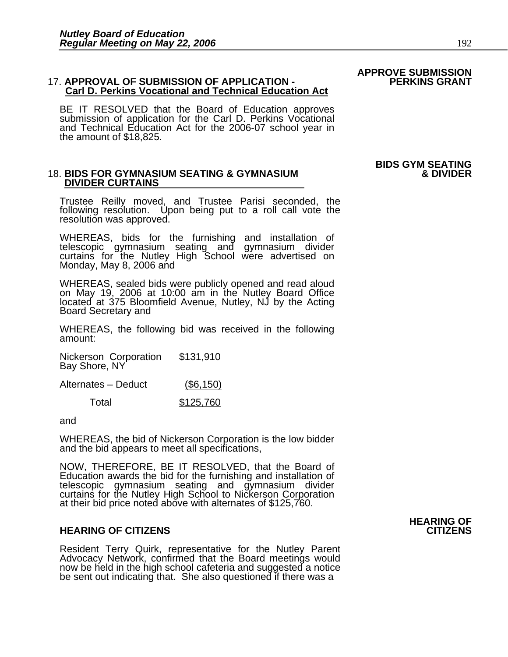#### 17. APPROVAL OF SUBMISSION OF APPLICATION - **Carl D. Perkins Vocational and Technical Education Act**

BE IT RESOLVED that the Board of Education approves submission of application for the Carl D. Perkins Vocational and Technical Education Act for the 2006-07 school year in the amount of \$18,825.

### 18. **BIDS FOR GYMNASIUM SEATING & GYMNASIUM & DIVIDER DIVIDER CURTAINS**

Trustee Reilly moved, and Trustee Parisi seconded, the following resolution. Upon being put to a roll call vote the resolution was approved.

WHEREAS, bids for the furnishing and installation of telescopic gymnasium seating and gymnasium divider curtains for the Nutley High School were advertised on Monday, May 8, 2006 and

WHEREAS, sealed bids were publicly opened and read aloud<br>on May 19, 2006 at 10:00 am in the Nutley Board Office located at 375 Bloomfield Avenue, Nutley, NJ by the Acting<br>Board Secretary and

WHEREAS, the following bid was received in the following amount:

Nickerson Corporation \$131,910 Bay Shore, NY

| Alternates - Deduct | $($ \$6,150) |
|---------------------|--------------|
|                     |              |

| Total | \$125,760 |
|-------|-----------|
|       |           |

and

WHEREAS, the bid of Nickerson Corporation is the low bidder and the bid appears to meet all specifications,

NOW, THEREFORE, BE IT RESOLVED, that the Board of Education awards the bid for the furnishing and installation of Education awards the bid for the furnishing and installation of<br>telescopic gymnasium seating and gymnasium divider curtains for the Nutley High School to Nickerson Corporation at their bid price noted above with alternates of \$125,760.

#### **HEARING OF CITIZENS CITIZENS**

Resident Terry Quirk, representative for the Nutley Parent Advocacy Network, confirmed that the Board meetings would now be held in the high school cafeteria and suggested a notice be sent out indicating that. She also questioned if there was a

### **HEARING OF**

## **APPROVE SUBMISSION**

## **BIDS GYM SEATING**